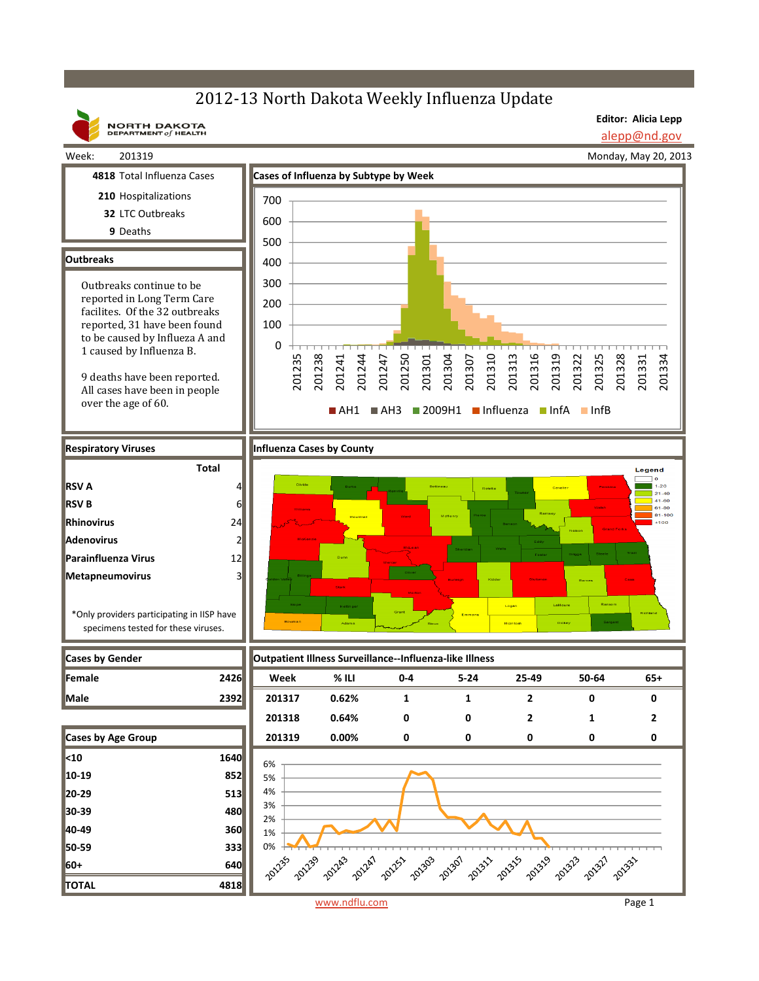## 2012-13 North Dakota Weekly Influenza Update

**NORTH DAKOTA**<br>DEPARTMENT of HEALTH

**Editor: Alicia Lepp**